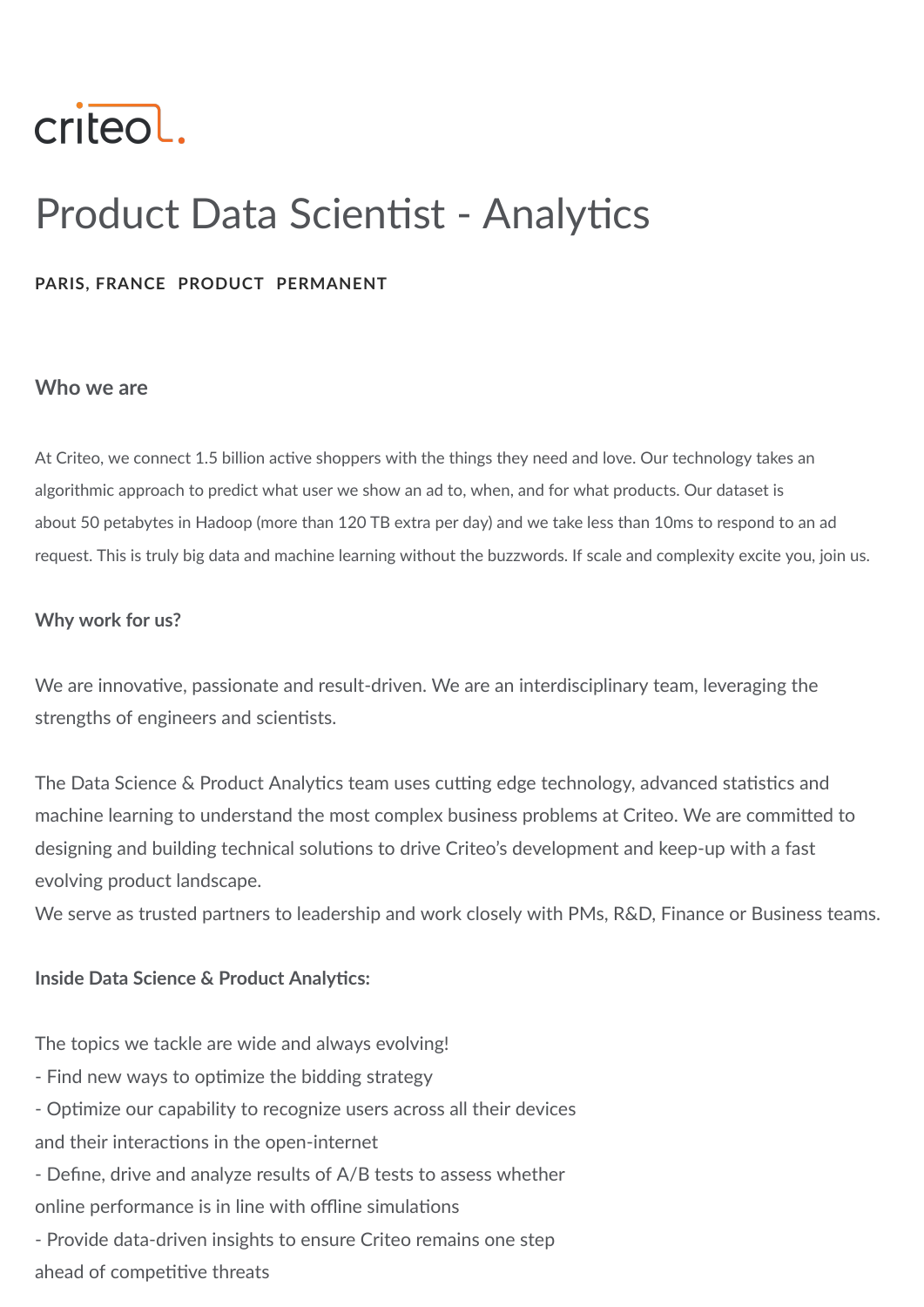

# Product Data Scientist - Analytics

#### **PARIS, FRANCE PRODUCT PERMANENT**

#### **Who we are**

At Criteo, we connect 1.5 billion active shoppers with the things they need and love. Our technology takes an algorithmic approach to predict what user we show an ad to, when, and for what products. Our dataset is about 50 petabytes in Hadoop (more than 120 TB extra per day) and we take less than 10ms to respond to an ad request. This is truly big data and machine learning without the buzzwords. If scale and complexity excite you, join us.

#### **Why work for us?**

We are innovative, passionate and result-driven. We are an interdisciplinary team, leveraging the strengths of engineers and scientists.

The Data Science & Product Analytics team uses cutting edge technology, advanced statistics and machine learning to understand the most complex business problems at Criteo. We are committed to designing and building technical solutions to drive Criteo's development and keep-up with a fast evolving product landscape.

We serve as trusted partners to leadership and work closely with PMs, R&D, Finance or Business teams.

#### **Inside Data Science & Product Analytics:**

The topics we tackle are wide and always evolving!

- Find new ways to optimize the bidding strategy
- Optimize our capability to recognize users across all their devices

and their interactions in the open-internet

- Define, drive and analyze results of A/B tests to assess whether online performance is in line with offline simulations
- Provide data-driven insights to ensure Criteo remains one step ahead of competitive threats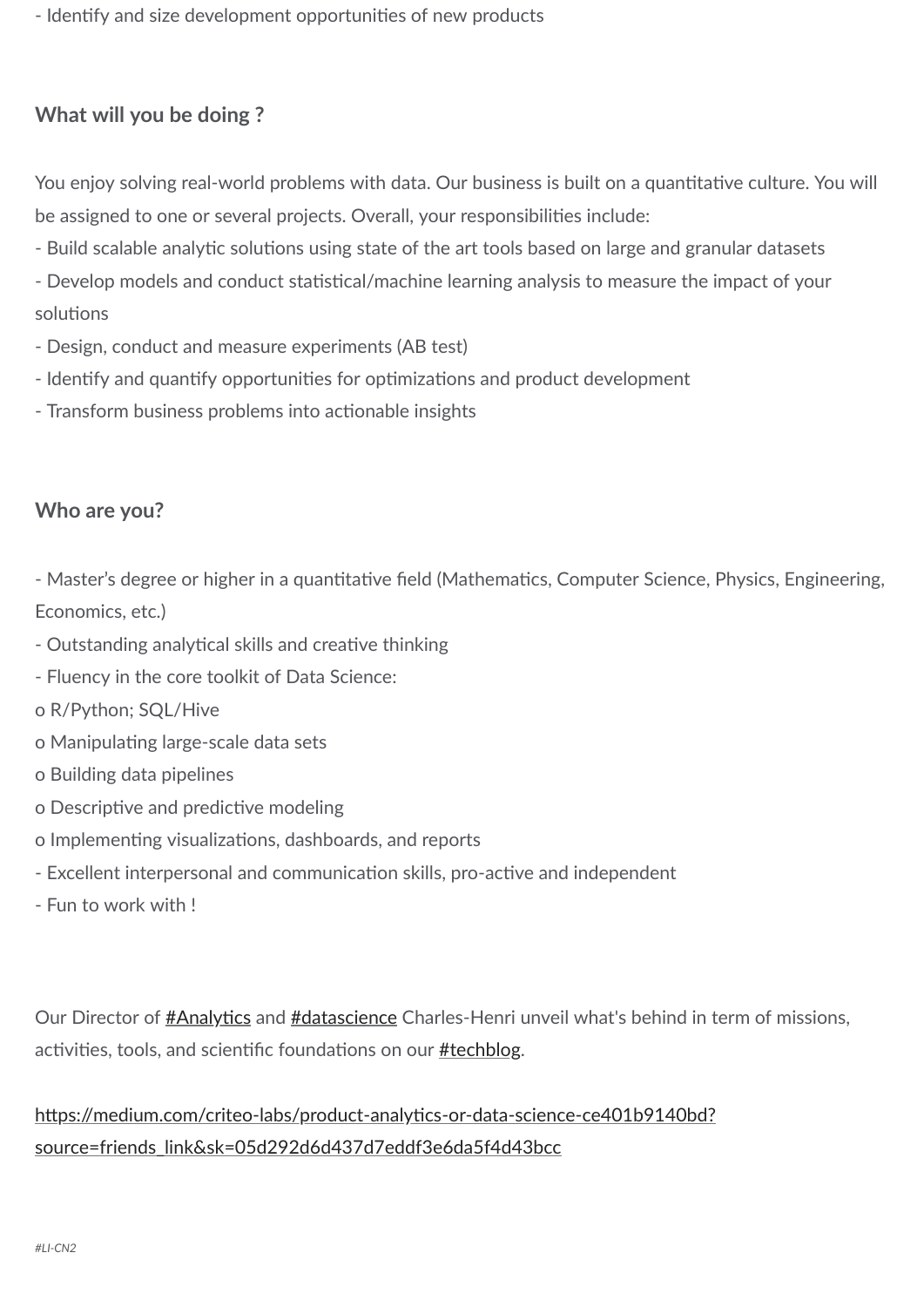- Identify and size development opportunities of new products

## **What will you be doing ?**

You enjoy solving real-world problems with data. Our business is built on a quantitative culture. You will be assigned to one or several projects. Overall, your responsibilities include:

- Build scalable analytic solutions using state of the art tools based on large and granular datasets
- Develop models and conduct statistical/machine learning analysis to measure the impact of your solutions
- Design, conduct and measure experiments (AB test)
- Identify and quantify opportunities for optimizations and product development
- Transform business problems into actionable insights

### **Who are you?**

- Master's degree or higher in a quantitative field (Mathematics, Computer Science, Physics, Engineering, Economics, etc.)

- Outstanding analytical skills and creative thinking
- Fluency in the core toolkit of Data Science:
- o R/Python; SQL/Hive
- o Manipulating large-scale data sets
- o Building data pipelines
- o Descriptive and predictive modeling
- o Implementing visualizations, dashboards, and reports
- Excellent interpersonal and communication skills, pro-active and independent
- Fun to work with !

Our Director of **#Analytics** and **[#datascience](https://twitter.com/hashtag/datascience?src=hash)** Charles-Henri unveil what's behind in term of missions, activities, tools, and scientific foundations on our **[#techblog](https://twitter.com/hashtag/techblog?src=hash)**.

# https://medium.com/criteo-labs/product-analytics-or-data-science-ce401b9140bd? source=friends\_link&sk=05d292d6d437d7eddf3e6da5f4d43bcc